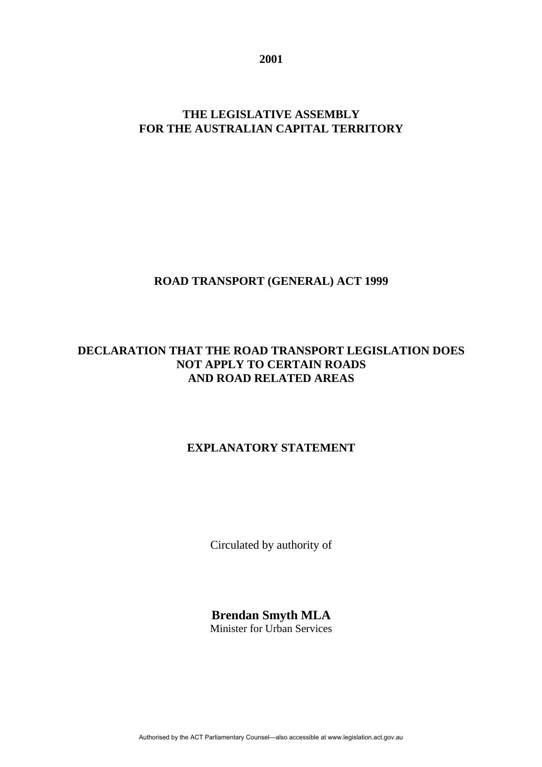**2001**

### **THE LEGISLATIVE ASSEMBLY FOR THE AUSTRALIAN CAPITAL TERRITORY**

## **ROAD TRANSPORT (GENERAL) ACT 1999**

# **DECLARATION THAT THE ROAD TRANSPORT LEGISLATION DOES NOT APPLY TO CERTAIN ROADS AND ROAD RELATED AREAS**

## **EXPLANATORY STATEMENT**

Circulated by authority of

**Brendan Smyth MLA** Minister for Urban Services